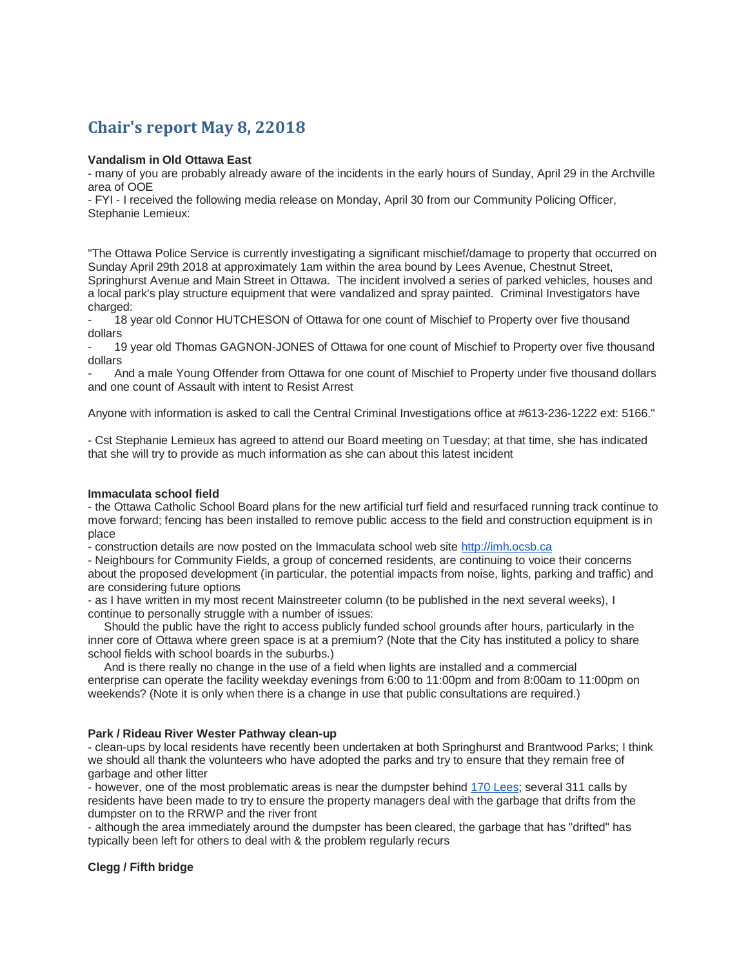# **Chair's report May 8, 22018**

# **Vandalism in Old Ottawa East**

- many of you are probably already aware of the incidents in the early hours of Sunday, April 29 in the Archville area of OOE

- FYI - I received the following media release on Monday, April 30 from our Community Policing Officer, Stephanie Lemieux:

"The Ottawa Police Service is currently investigating a significant mischief/damage to property that occurred on Sunday April 29th 2018 at approximately 1am within the area bound by Lees Avenue, Chestnut Street, Springhurst Avenue and Main Street in Ottawa. The incident involved a series of parked vehicles, houses and a local park's play structure equipment that were vandalized and spray painted. Criminal Investigators have charged:

- 18 year old Connor HUTCHESON of Ottawa for one count of Mischief to Property over five thousand dollars

19 year old Thomas GAGNON-JONES of Ottawa for one count of Mischief to Property over five thousand dollars

- And a male Young Offender from Ottawa for one count of Mischief to Property under five thousand dollars and one count of Assault with intent to Resist Arrest

Anyone with information is asked to call the Central Criminal Investigations office at #613-236-1222 ext: 5166."

- Cst Stephanie Lemieux has agreed to attend our Board meeting on Tuesday; at that time, she has indicated that she will try to provide as much information as she can about this latest incident

#### **Immaculata school field**

- the Ottawa Catholic School Board plans for the new artificial turf field and resurfaced running track continue to move forward; fencing has been installed to remove public access to the field and construction equipment is in place

- construction details are now posted on the Immaculata school web site [http://imh.ocsb.ca](http://imh.ocsb.ca/)

- Neighbours for Community Fields, a group of concerned residents, are continuing to voice their concerns about the proposed development (in particular, the potential impacts from noise, lights, parking and traffic) and are considering future options

- as I have written in my most recent Mainstreeter column (to be published in the next several weeks), I continue to personally struggle with a number of issues:

Should the public have the right to access publicly funded school grounds after hours, particularly in the inner core of Ottawa where green space is at a premium? (Note that the City has instituted a policy to share school fields with school boards in the suburbs.)

And is there really no change in the use of a field when lights are installed and a commercial enterprise can operate the facility weekday evenings from 6:00 to 11:00pm and from 8:00am to 11:00pm on weekends? (Note it is only when there is a change in use that public consultations are required.)

### **Park / Rideau River Wester Pathway clean-up**

- clean-ups by local residents have recently been undertaken at both Springhurst and Brantwood Parks; I think we should all thank the volunteers who have adopted the parks and try to ensure that they remain free of garbage and other litter

- however, one of the most problematic areas is near the dumpster behind [170 Lees;](https://maps.google.com/?q=170+Lees&entry=gmail&source=g) several 311 calls by residents have been made to try to ensure the property managers deal with the garbage that drifts from the dumpster on to the RRWP and the river front

- although the area immediately around the dumpster has been cleared, the garbage that has "drifted" has typically been left for others to deal with & the problem regularly recurs

### **Clegg / Fifth bridge**